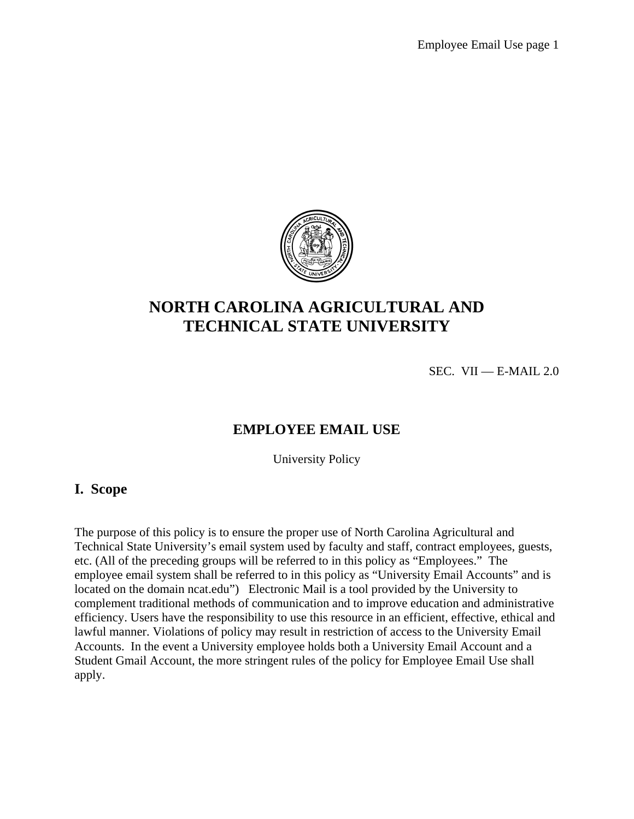

# **NORTH CAROLINA AGRICULTURAL AND TECHNICAL STATE UNIVERSITY**

SEC. VII — E-MAIL  $2.0$ 

#### **EMPLOYEE EMAIL USE**

University Policy

#### **I. Scope**

The purpose of this policy is to ensure the proper use of North Carolina Agricultural and Technical State University's email system used by faculty and staff, contract employees, guests, etc. (All of the preceding groups will be referred to in this policy as "Employees." The employee email system shall be referred to in this policy as "University Email Accounts" and is located on the domain ncat.edu") Electronic Mail is a tool provided by the University to complement traditional methods of communication and to improve education and administrative efficiency. Users have the responsibility to use this resource in an efficient, effective, ethical and lawful manner. Violations of policy may result in restriction of access to the University Email Accounts. In the event a University employee holds both a University Email Account and a Student Gmail Account, the more stringent rules of the policy for Employee Email Use shall apply.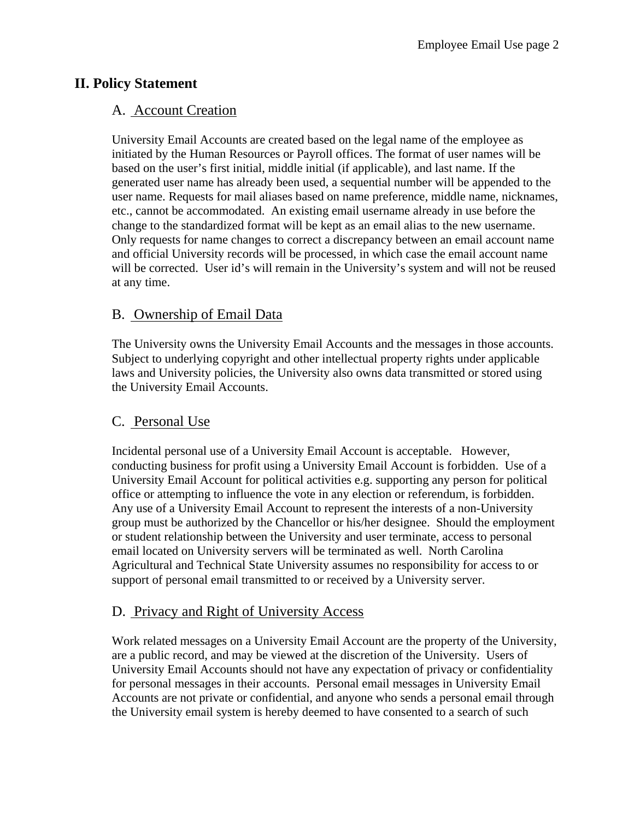# **II. Policy Statement**

# A. Account Creation

University Email Accounts are created based on the legal name of the employee as initiated by the Human Resources or Payroll offices. The format of user names will be based on the user's first initial, middle initial (if applicable), and last name. If the generated user name has already been used, a sequential number will be appended to the user name. Requests for mail aliases based on name preference, middle name, nicknames, etc., cannot be accommodated. An existing email username already in use before the change to the standardized format will be kept as an email alias to the new username. Only requests for name changes to correct a discrepancy between an email account name and official University records will be processed, in which case the email account name will be corrected. User id's will remain in the University's system and will not be reused at any time.

# B. Ownership of Email Data

The University owns the University Email Accounts and the messages in those accounts. Subject to underlying copyright and other intellectual property rights under applicable laws and University policies, the University also owns data transmitted or stored using the University Email Accounts.

# C. Personal Use

Incidental personal use of a University Email Account is acceptable. However, conducting business for profit using a University Email Account is forbidden. Use of a University Email Account for political activities e.g. supporting any person for political office or attempting to influence the vote in any election or referendum, is forbidden. Any use of a University Email Account to represent the interests of a non-University group must be authorized by the Chancellor or his/her designee. Should the employment or student relationship between the University and user terminate, access to personal email located on University servers will be terminated as well. North Carolina Agricultural and Technical State University assumes no responsibility for access to or support of personal email transmitted to or received by a University server.

# D. Privacy and Right of University Access

Work related messages on a University Email Account are the property of the University, are a public record, and may be viewed at the discretion of the University. Users of University Email Accounts should not have any expectation of privacy or confidentiality for personal messages in their accounts. Personal email messages in University Email Accounts are not private or confidential, and anyone who sends a personal email through the University email system is hereby deemed to have consented to a search of such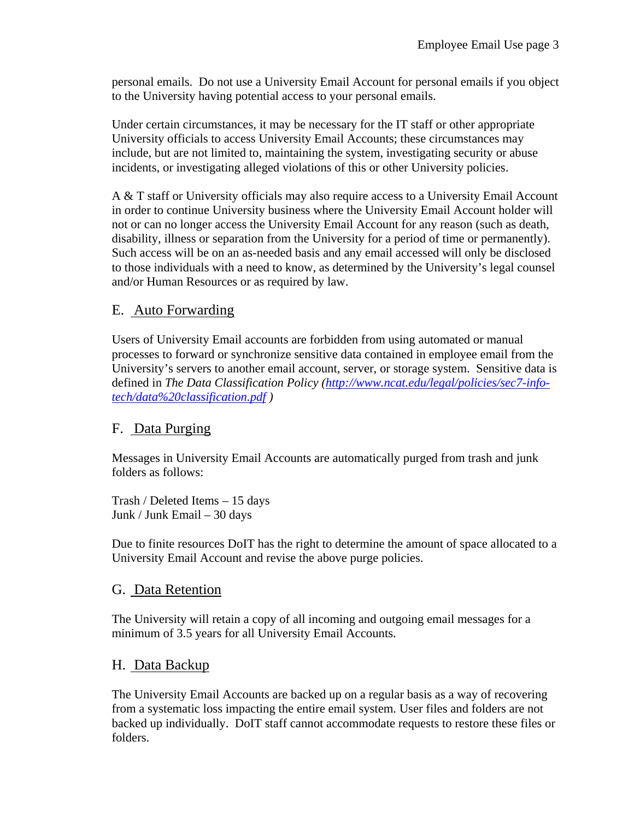personal emails. Do not use a University Email Account for personal emails if you object to the University having potential access to your personal emails.

Under certain circumstances, it may be necessary for the IT staff or other appropriate University officials to access University Email Accounts; these circumstances may include, but are not limited to, maintaining the system, investigating security or abuse incidents, or investigating alleged violations of this or other University policies.

A & T staff or University officials may also require access to a University Email Account in order to continue University business where the University Email Account holder will not or can no longer access the University Email Account for any reason (such as death, disability, illness or separation from the University for a period of time or permanently). Such access will be on an as-needed basis and any email accessed will only be disclosed to those individuals with a need to know, as determined by the University's legal counsel and/or Human Resources or as required by law.

#### E. Auto Forwarding

Users of University Email accounts are forbidden from using automated or manual processes to forward or synchronize sensitive data contained in employee email from the University's servers to another email account, server, or storage system. Sensitive data is defined in *The Data Classification Policy (http://www.ncat.edu/legal/policies/sec7-infotech/data%20classification.pdf )*

# F. Data Purging

Messages in University Email Accounts are automatically purged from trash and junk folders as follows:

Trash / Deleted Items – 15 days Junk / Junk Email – 30 days

Due to finite resources DoIT has the right to determine the amount of space allocated to a University Email Account and revise the above purge policies.

#### G. Data Retention

The University will retain a copy of all incoming and outgoing email messages for a minimum of 3.5 years for all University Email Accounts.

#### H. Data Backup

The University Email Accounts are backed up on a regular basis as a way of recovering from a systematic loss impacting the entire email system. User files and folders are not backed up individually. DoIT staff cannot accommodate requests to restore these files or folders.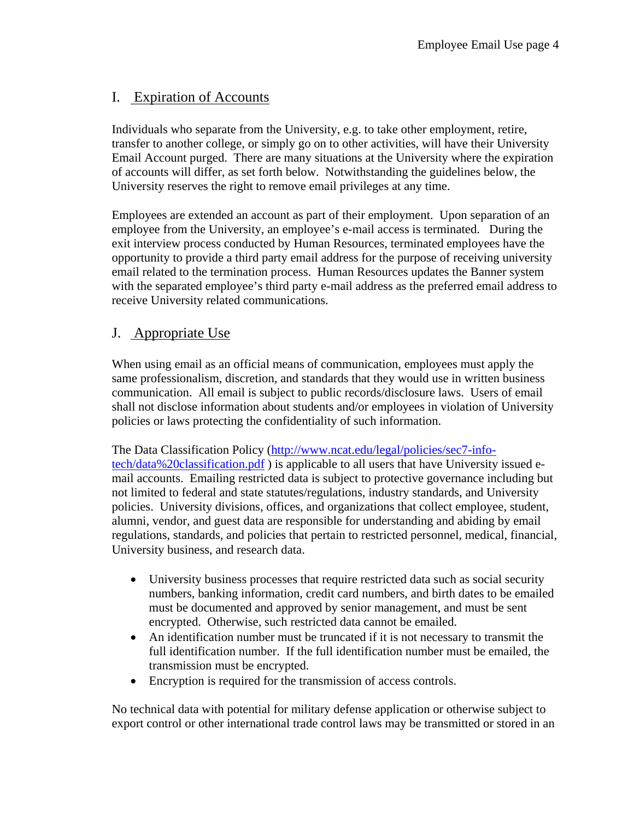# I. Expiration of Accounts

Individuals who separate from the University, e.g. to take other employment, retire, transfer to another college, or simply go on to other activities, will have their University Email Account purged. There are many situations at the University where the expiration of accounts will differ, as set forth below. Notwithstanding the guidelines below, the University reserves the right to remove email privileges at any time.

Employees are extended an account as part of their employment. Upon separation of an employee from the University, an employee's e-mail access is terminated. During the exit interview process conducted by Human Resources, terminated employees have the opportunity to provide a third party email address for the purpose of receiving university email related to the termination process. Human Resources updates the Banner system with the separated employee's third party e-mail address as the preferred email address to receive University related communications.

#### J. Appropriate Use

When using email as an official means of communication, employees must apply the same professionalism, discretion, and standards that they would use in written business communication. All email is subject to public records/disclosure laws. Users of email shall not disclose information about students and/or employees in violation of University policies or laws protecting the confidentiality of such information.

The Data Classification Policy (http://www.ncat.edu/legal/policies/sec7-infotech/data%20classification.pdf ) is applicable to all users that have University issued email accounts. Emailing restricted data is subject to protective governance including but not limited to federal and state statutes/regulations, industry standards, and University policies. University divisions, offices, and organizations that collect employee, student, alumni, vendor, and guest data are responsible for understanding and abiding by email regulations, standards, and policies that pertain to restricted personnel, medical, financial, University business, and research data.

- University business processes that require restricted data such as social security numbers, banking information, credit card numbers, and birth dates to be emailed must be documented and approved by senior management, and must be sent encrypted. Otherwise, such restricted data cannot be emailed.
- An identification number must be truncated if it is not necessary to transmit the full identification number. If the full identification number must be emailed, the transmission must be encrypted.
- Encryption is required for the transmission of access controls.

No technical data with potential for military defense application or otherwise subject to export control or other international trade control laws may be transmitted or stored in an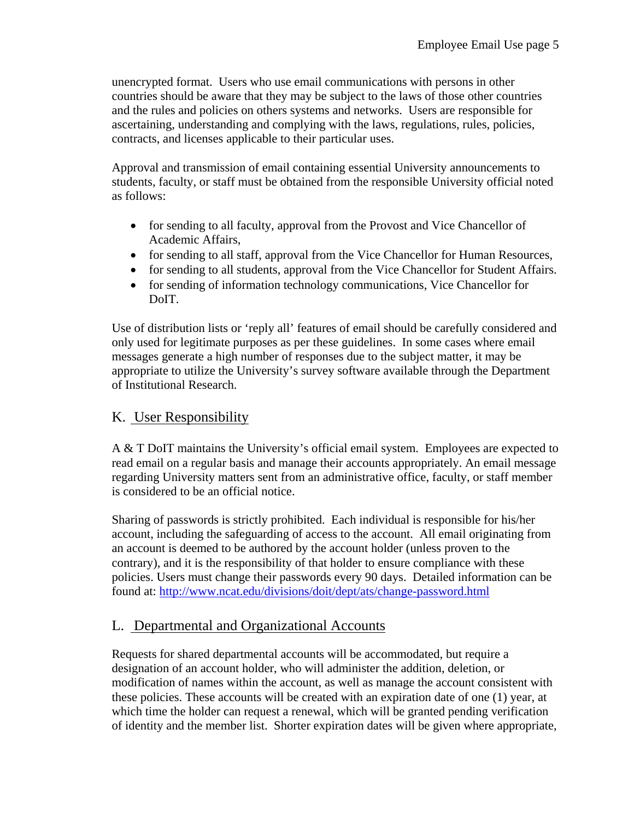unencrypted format. Users who use email communications with persons in other countries should be aware that they may be subject to the laws of those other countries and the rules and policies on others systems and networks. Users are responsible for ascertaining, understanding and complying with the laws, regulations, rules, policies, contracts, and licenses applicable to their particular uses.

Approval and transmission of email containing essential University announcements to students, faculty, or staff must be obtained from the responsible University official noted as follows:

- for sending to all faculty, approval from the Provost and Vice Chancellor of Academic Affairs,
- for sending to all staff, approval from the Vice Chancellor for Human Resources,
- for sending to all students, approval from the Vice Chancellor for Student Affairs.
- for sending of information technology communications, Vice Chancellor for DoIT.

Use of distribution lists or 'reply all' features of email should be carefully considered and only used for legitimate purposes as per these guidelines. In some cases where email messages generate a high number of responses due to the subject matter, it may be appropriate to utilize the University's survey software available through the Department of Institutional Research.

# K. User Responsibility

A & T DoIT maintains the University's official email system. Employees are expected to read email on a regular basis and manage their accounts appropriately. An email message regarding University matters sent from an administrative office, faculty, or staff member is considered to be an official notice.

Sharing of passwords is strictly prohibited. Each individual is responsible for his/her account, including the safeguarding of access to the account. All email originating from an account is deemed to be authored by the account holder (unless proven to the contrary), and it is the responsibility of that holder to ensure compliance with these policies. Users must change their passwords every 90 days. Detailed information can be found at: http://www.ncat.edu/divisions/doit/dept/ats/change-password.html

# L. Departmental and Organizational Accounts

Requests for shared departmental accounts will be accommodated, but require a designation of an account holder, who will administer the addition, deletion, or modification of names within the account, as well as manage the account consistent with these policies. These accounts will be created with an expiration date of one (1) year, at which time the holder can request a renewal, which will be granted pending verification of identity and the member list. Shorter expiration dates will be given where appropriate,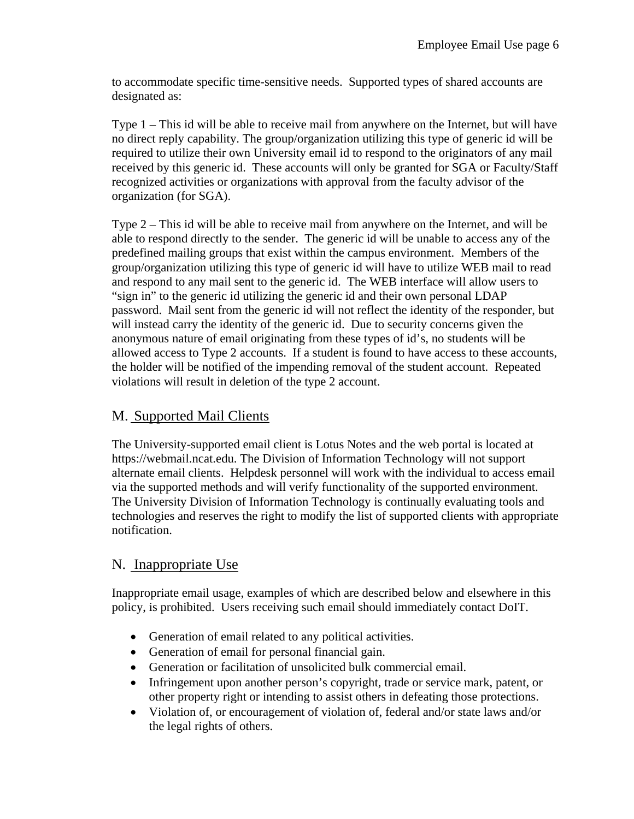to accommodate specific time-sensitive needs. Supported types of shared accounts are designated as:

Type 1 – This id will be able to receive mail from anywhere on the Internet, but will have no direct reply capability. The group/organization utilizing this type of generic id will be required to utilize their own University email id to respond to the originators of any mail received by this generic id. These accounts will only be granted for SGA or Faculty/Staff recognized activities or organizations with approval from the faculty advisor of the organization (for SGA).

Type 2 – This id will be able to receive mail from anywhere on the Internet, and will be able to respond directly to the sender. The generic id will be unable to access any of the predefined mailing groups that exist within the campus environment. Members of the group/organization utilizing this type of generic id will have to utilize WEB mail to read and respond to any mail sent to the generic id. The WEB interface will allow users to "sign in" to the generic id utilizing the generic id and their own personal LDAP password. Mail sent from the generic id will not reflect the identity of the responder, but will instead carry the identity of the generic id. Due to security concerns given the anonymous nature of email originating from these types of id's, no students will be allowed access to Type 2 accounts. If a student is found to have access to these accounts, the holder will be notified of the impending removal of the student account. Repeated violations will result in deletion of the type 2 account.

# M. Supported Mail Clients

The University-supported email client is Lotus Notes and the web portal is located at https://webmail.ncat.edu. The Division of Information Technology will not support alternate email clients. Helpdesk personnel will work with the individual to access email via the supported methods and will verify functionality of the supported environment. The University Division of Information Technology is continually evaluating tools and technologies and reserves the right to modify the list of supported clients with appropriate notification.

# N. Inappropriate Use

Inappropriate email usage, examples of which are described below and elsewhere in this policy, is prohibited. Users receiving such email should immediately contact DoIT.

- Generation of email related to any political activities.
- Generation of email for personal financial gain.
- Generation or facilitation of unsolicited bulk commercial email.
- Infringement upon another person's copyright, trade or service mark, patent, or other property right or intending to assist others in defeating those protections.
- Violation of, or encouragement of violation of, federal and/or state laws and/or the legal rights of others.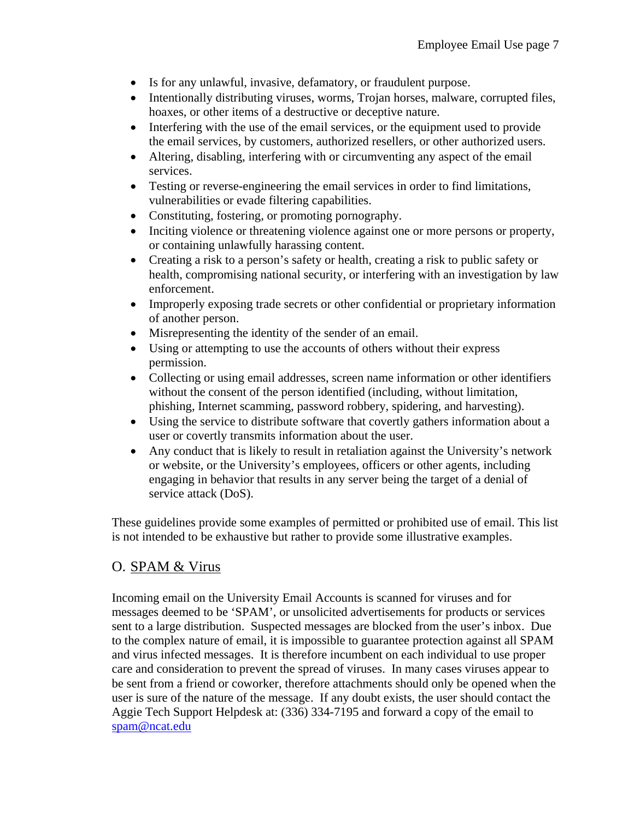- Is for any unlawful, invasive, defamatory, or fraudulent purpose.
- Intentionally distributing viruses, worms, Trojan horses, malware, corrupted files, hoaxes, or other items of a destructive or deceptive nature.
- Interfering with the use of the email services, or the equipment used to provide the email services, by customers, authorized resellers, or other authorized users.
- Altering, disabling, interfering with or circumventing any aspect of the email services.
- Testing or reverse-engineering the email services in order to find limitations, vulnerabilities or evade filtering capabilities.
- Constituting, fostering, or promoting pornography.
- Inciting violence or threatening violence against one or more persons or property, or containing unlawfully harassing content.
- Creating a risk to a person's safety or health, creating a risk to public safety or health, compromising national security, or interfering with an investigation by law enforcement.
- Improperly exposing trade secrets or other confidential or proprietary information of another person.
- Misrepresenting the identity of the sender of an email.
- Using or attempting to use the accounts of others without their express permission.
- Collecting or using email addresses, screen name information or other identifiers without the consent of the person identified (including, without limitation, phishing, Internet scamming, password robbery, spidering, and harvesting).
- Using the service to distribute software that covertly gathers information about a user or covertly transmits information about the user.
- Any conduct that is likely to result in retaliation against the University's network or website, or the University's employees, officers or other agents, including engaging in behavior that results in any server being the target of a denial of service attack (DoS).

These guidelines provide some examples of permitted or prohibited use of email. This list is not intended to be exhaustive but rather to provide some illustrative examples.

# O. SPAM & Virus

Incoming email on the University Email Accounts is scanned for viruses and for messages deemed to be 'SPAM', or unsolicited advertisements for products or services sent to a large distribution. Suspected messages are blocked from the user's inbox. Due to the complex nature of email, it is impossible to guarantee protection against all SPAM and virus infected messages. It is therefore incumbent on each individual to use proper care and consideration to prevent the spread of viruses. In many cases viruses appear to be sent from a friend or coworker, therefore attachments should only be opened when the user is sure of the nature of the message. If any doubt exists, the user should contact the Aggie Tech Support Helpdesk at: (336) 334-7195 and forward a copy of the email to spam@ncat.edu